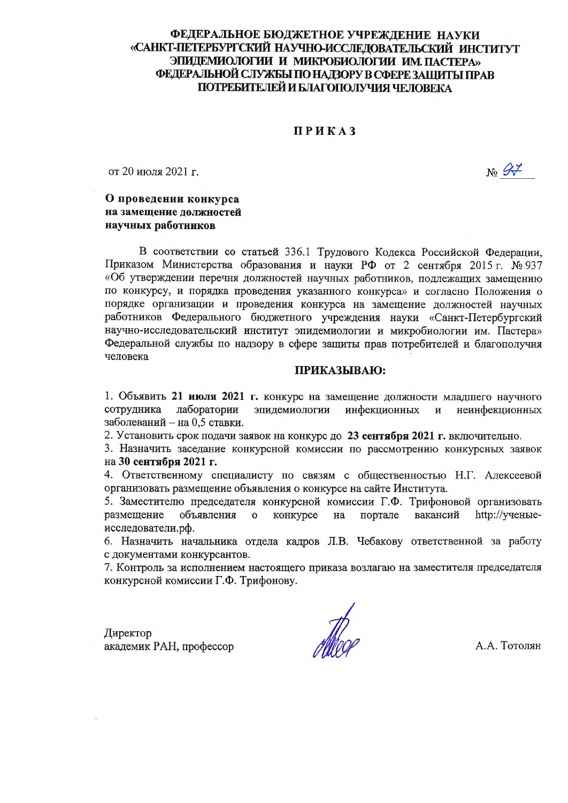## ФЕДЕРАЛЬНОЕ БЮДЖЕТНОЕ УЧРЕЖДЕНИЕ НАУКИ «САНКТ-ПЕТЕРБУРГСКИЙ НАУЧНО-ИССЛЕЛОВАТЕЛЬСКИЙ ИНСТИТУТ ЭПИДЕМИОЛОГИИ И МИКРОБИОЛОГИИ ИМ. ПАСТЕРА» ФЕДЕРАЛЬНОЙ СЛУЖБЫ ПО НАДЗОРУ В СФЕРЕ ЗАЩИТЫ ПРАВ ПОТРЕБИТЕЛЕЙ И БЛАГОПОЛУЧИЯ ЧЕЛОВЕКА

### ПРИКАЗ

от 20 июля 2021 г.

No St

### О проведении конкурса на замещение должностей научных работников

В соответствии со статьей 336.1 Трудового Кодекса Российской Федерации, Приказом Министерства образования и науки РФ от 2 сентября 2015 г. № 937 «Об утверждении перечня должностей научных работников, подлежащих замещению по конкурсу, и порядка проведения указанного конкурса» и согласно Положения о порядке организации и проведения конкурса на замещение должностей научных работников Федерального бюджетного учреждения науки «Санкт-Петербургский научно-исследовательский институт эпидемиологии и микробиологии им. Пастера» Федеральной службы по надзору в сфере защиты прав потребителей и благополучия человека

#### ПРИКАЗЫВАЮ:

1. Объявить 21 июля 2021 г. конкурс на замещение должности младшего научного сотрудника лаборатории эпидемиологии инфекционных неинфекционных  $\mathbf{H}$ заболеваний - на 0,5 ставки.

2. Установить срок подачи заявок на конкурс до 23 сентября 2021 г. включительно.

3. Назначить заседание конкурсной комиссии по рассмотрению конкурсных заявок на 30 сентября 2021 г.

4. Ответственному специалисту по связям с общественностью Н.Г. Алексеевой организовать размещение объявления о конкурсе на сайте Института.

5. Заместителю председателя конкурсной комиссии Г.Ф. Трифоновой организовать размещение объявления  $\Omega$ конкурсе на портале вакансий http://ученыеисследователи.рф.

6. Назначить начальника отдела кадров Л.В. Чебакову ответственной за работу с документами конкурсантов.

7. Контроль за исполнением настоящего приказа возлагаю на заместителя председателя конкурсной комиссии Г.Ф. Трифонову.

Директор академик РАН, профессор

Alboe

А.А. Тотолян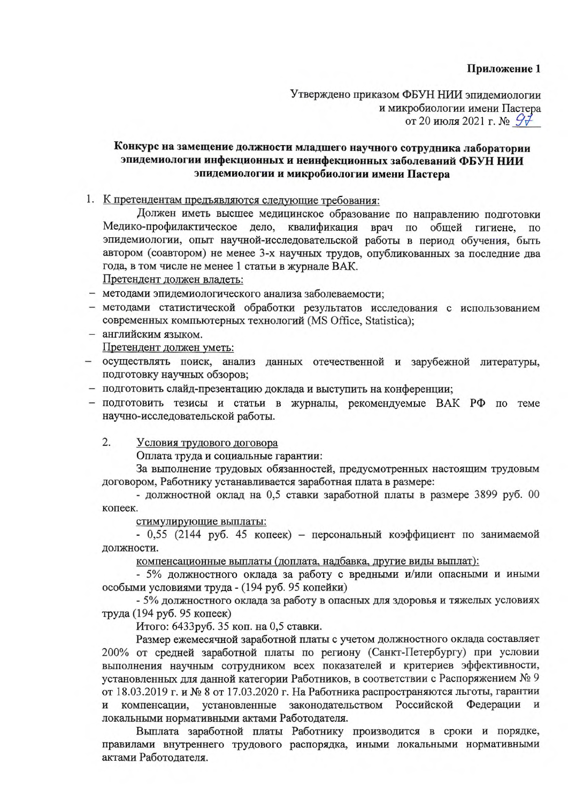Утверждено приказом ФБУН НИИ эпидемиологии и микробиологии имени Пастера от 20 июля 2021 г. №  $\mathcal{G}$ 7

# Конкурс на замещение должности младшего научного сотрудника лаборатории эпидемиологии инфекционных и неинфекционных заболеваний ФБУН НИИ эпидемиологии и микробиологии имени Пастера

1. К претендентам предъявляются следующие требования:

Должен иметь высшее медицинское образование по направлению подготовки Медико-профилактическое дело, квалификация врач по общей гигиене, по эпидемиологии, опыт научной-исследовательской работы в период обучения, быть автором (соавтором) не менее 3-х научных трудов, опубликованных за последние два года, в том числе не менее 1 статьи в журнале ВАК.

Претендент должен владеть:

- методами эпидемиологического анализа заболеваемости;

- методами статистической обработки результатов исследования с использованием современных компьютерных технологий (MS Office, Statistica);
- английским языком. Претендент должен уметь:
- осуществлять поиск, анализ данных отечественной и зарубежной литературы, подготовку научных обзоров;
- подготовить слайд-презентацию доклада и выступить на конференции;
- подготовить тезисы и статьи в журналы, рекомендуемые ВАК РФ по теме научно-исследовательской работы.

 $2.$ Условия трудового договора

Оплата труда и социальные гарантии:

За выполнение трудовых обязанностей, предусмотренных настоящим трудовым договором, Работнику устанавливается заработная плата в размере:

- должностной оклад на 0,5 ставки заработной платы в размере 3899 руб. 00 копеек.

стимулирующие выплаты:

- 0,55 (2144 руб. 45 копеек) - персональный коэффициент по занимаемой должности.

компенсационные выплаты (доплата, надбавка, другие виды выплат):

- 5% должностного оклада за работу с вредными и/или опасными и иными особыми условиями труда - (194 руб. 95 копейки)

- 5% должностного оклада за работу в опасных для здоровья и тяжелых условиях труда (194 руб. 95 копеек)

Итого: 6433руб. 35 коп. на 0,5 ставки.

Размер ежемесячной заработной платы с учетом должностного оклада составляет 200% от средней заработной платы по региону (Санкт-Петербургу) при условии выполнения научным сотрудником всех показателей и критериев эффективности, установленных для данной категории Работников, в соответствии с Распоряжением № 9 от 18.03.2019 г. и № 8 от 17.03.2020 г. На Работника распространяются льготы, гарантии компенсации, установленные законодательством Российской Федерации и И локальными нормативными актами Работодателя.

Выплата заработной платы Работнику производится в сроки и порядке, правилами внутреннего трудового распорядка, иными локальными нормативными актами Работодателя.